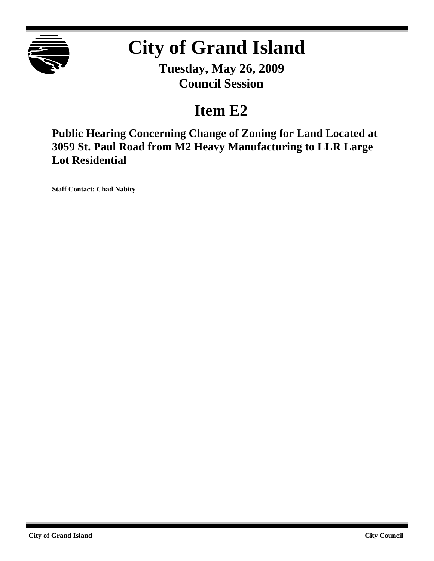

# **City of Grand Island**

**Tuesday, May 26, 2009 Council Session**

### **Item E2**

**Public Hearing Concerning Change of Zoning for Land Located at 3059 St. Paul Road from M2 Heavy Manufacturing to LLR Large Lot Residential**

**Staff Contact: Chad Nabity**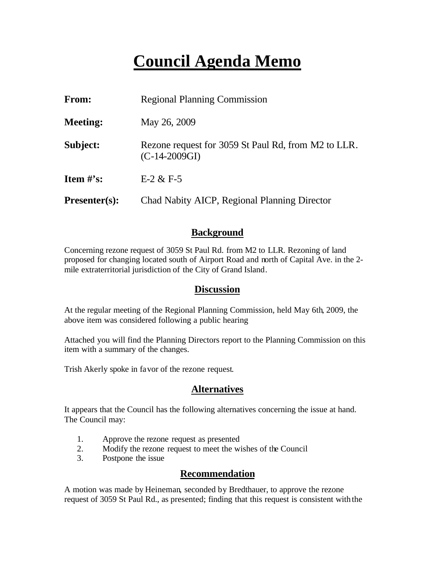## **Council Agenda Memo**

| From:                | <b>Regional Planning Commission</b>                                    |  |
|----------------------|------------------------------------------------------------------------|--|
| <b>Meeting:</b>      | May 26, 2009                                                           |  |
| Subject:             | Rezone request for 3059 St Paul Rd, from M2 to LLR.<br>$(C-14-2009GI)$ |  |
| Item $#$ 's:         | $E-2 & E-5$                                                            |  |
| <b>Presenter(s):</b> | Chad Nabity AICP, Regional Planning Director                           |  |

#### **Background**

Concerning rezone request of 3059 St Paul Rd. from M2 to LLR. Rezoning of land proposed for changing located south of Airport Road and north of Capital Ave. in the 2 mile extraterritorial jurisdiction of the City of Grand Island.

#### **Discussion**

At the regular meeting of the Regional Planning Commission, held May 6th, 2009, the above item was considered following a public hearing

Attached you will find the Planning Directors report to the Planning Commission on this item with a summary of the changes.

Trish Akerly spoke in favor of the rezone request.

#### **Alternatives**

It appears that the Council has the following alternatives concerning the issue at hand. The Council may:

- 1. Approve the rezone request as presented
- 2. Modify the rezone request to meet the wishes of the Council
- 3. Postpone the issue

#### **Recommendation**

A motion was made by Heineman, seconded by Bredthauer, to approve the rezone request of 3059 St Paul Rd., as presented; finding that this request is consistent with the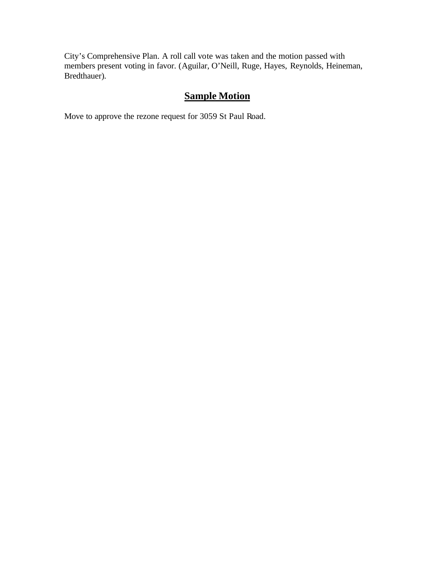City's Comprehensive Plan. A roll call vote was taken and the motion passed with members present voting in favor. (Aguilar, O'Neill, Ruge, Hayes, Reynolds, Heineman, Bredthauer).

### **Sample Motion**

Move to approve the rezone request for 3059 St Paul Road.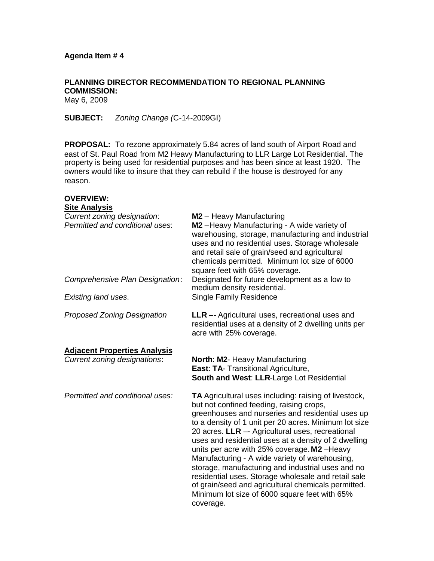**PLANNING DIRECTOR RECOMMENDATION TO REGIONAL PLANNING COMMISSION:** May 6, 2009

**SUBJECT:** *Zoning Change (*C-14-2009GI)

**PROPOSAL:** To rezone approximately 5.84 acres of land south of Airport Road and east of St. Paul Road from M2 Heavy Manufacturing to LLR Large Lot Residential. The property is being used for residential purposes and has been since at least 1920. The owners would like to insure that they can rebuild if the house is destroyed for any reason.

| <b>OVERVIEW:</b><br><b>Site Analysis</b>                       |                                                                                                                                                                                                                                                                                                                                                                                                                                                                                                                                                                                                                                                              |
|----------------------------------------------------------------|--------------------------------------------------------------------------------------------------------------------------------------------------------------------------------------------------------------------------------------------------------------------------------------------------------------------------------------------------------------------------------------------------------------------------------------------------------------------------------------------------------------------------------------------------------------------------------------------------------------------------------------------------------------|
| Current zoning designation:<br>Permitted and conditional uses: | M2 - Heavy Manufacturing<br>M2-Heavy Manufacturing - A wide variety of<br>warehousing, storage, manufacturing and industrial<br>uses and no residential uses. Storage wholesale<br>and retail sale of grain/seed and agricultural<br>chemicals permitted. Minimum lot size of 6000<br>square feet with 65% coverage.<br>Designated for future development as a low to<br>medium density residential.<br><b>Single Family Residence</b>                                                                                                                                                                                                                       |
| Comprehensive Plan Designation:                                |                                                                                                                                                                                                                                                                                                                                                                                                                                                                                                                                                                                                                                                              |
| Existing land uses.                                            |                                                                                                                                                                                                                                                                                                                                                                                                                                                                                                                                                                                                                                                              |
| <b>Proposed Zoning Designation</b>                             | <b>LLR</b> -- Agricultural uses, recreational uses and<br>residential uses at a density of 2 dwelling units per<br>acre with 25% coverage.                                                                                                                                                                                                                                                                                                                                                                                                                                                                                                                   |
| <b>Adjacent Properties Analysis</b>                            |                                                                                                                                                                                                                                                                                                                                                                                                                                                                                                                                                                                                                                                              |
| <b>Current zoning designations:</b>                            | North: M2- Heavy Manufacturing<br>East: TA- Transitional Agriculture,<br>South and West: LLR-Large Lot Residential                                                                                                                                                                                                                                                                                                                                                                                                                                                                                                                                           |
| Permitted and conditional uses:                                | TA Agricultural uses including: raising of livestock,<br>but not confined feeding, raising crops,<br>greenhouses and nurseries and residential uses up<br>to a density of 1 unit per 20 acres. Minimum lot size<br>20 acres. LLR -- Agricultural uses, recreational<br>uses and residential uses at a density of 2 dwelling<br>units per acre with 25% coverage. M2-Heavy<br>Manufacturing - A wide variety of warehousing,<br>storage, manufacturing and industrial uses and no<br>residential uses. Storage wholesale and retail sale<br>of grain/seed and agricultural chemicals permitted.<br>Minimum lot size of 6000 square feet with 65%<br>coverage. |